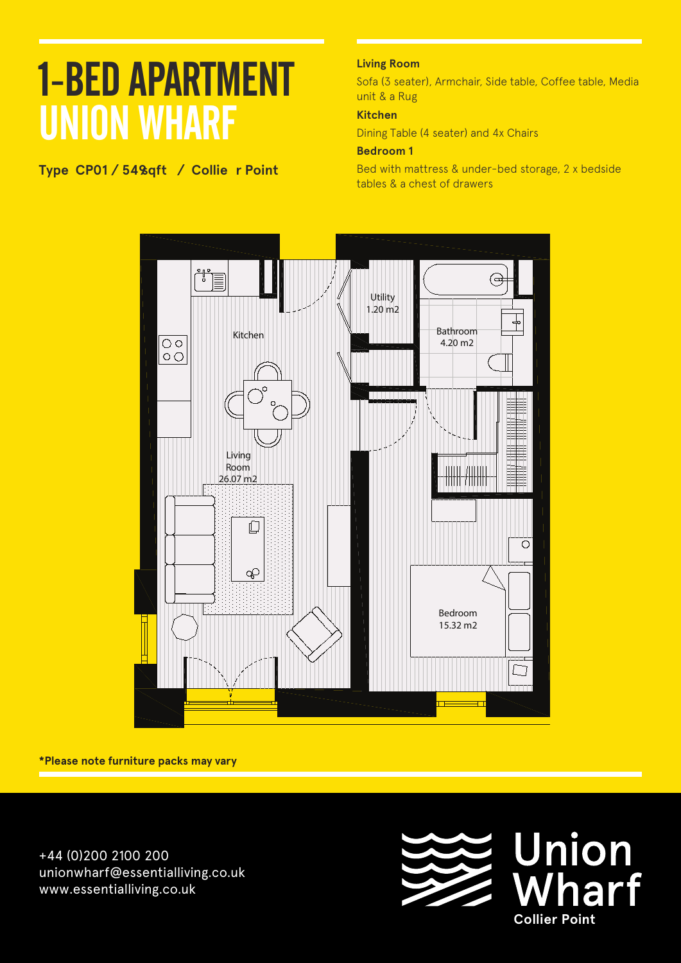**Type CP01 / 549 sqft / Collie r Point Floors: Level A1**

#### **Living Room**

Sofa (3 seater), Armchair, Side table, Coffee table, Media unit & a Rug

#### **Kitchen**

Dining Table (4 seater) and 4x Chairs

#### **Bedroom 1**

Bed with mattress & under-bed storage, 2 x bedside tables & a chest of drawers



**\*Please note furniture packs may vary**

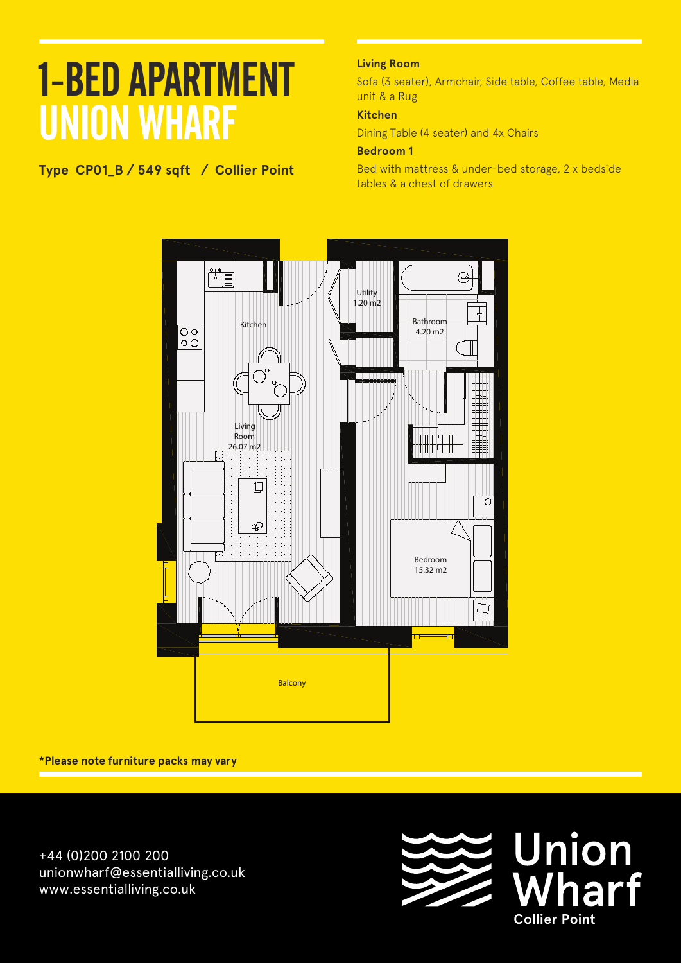**Type CP01\_B / 549 sqft / Collier Point Apartment A 106**

#### **Living Room**

Sofa (3 seater), Armchair, Side table, Coffee table, Media unit & a Rug

#### **Kitchen**

Dining Table (4 seater) and 4x Chairs

#### **Bedroom 1**

Bed with mattress & under-bed storage, 2 x bedside tables & a chest of drawers



**\*Please note furniture packs may vary**

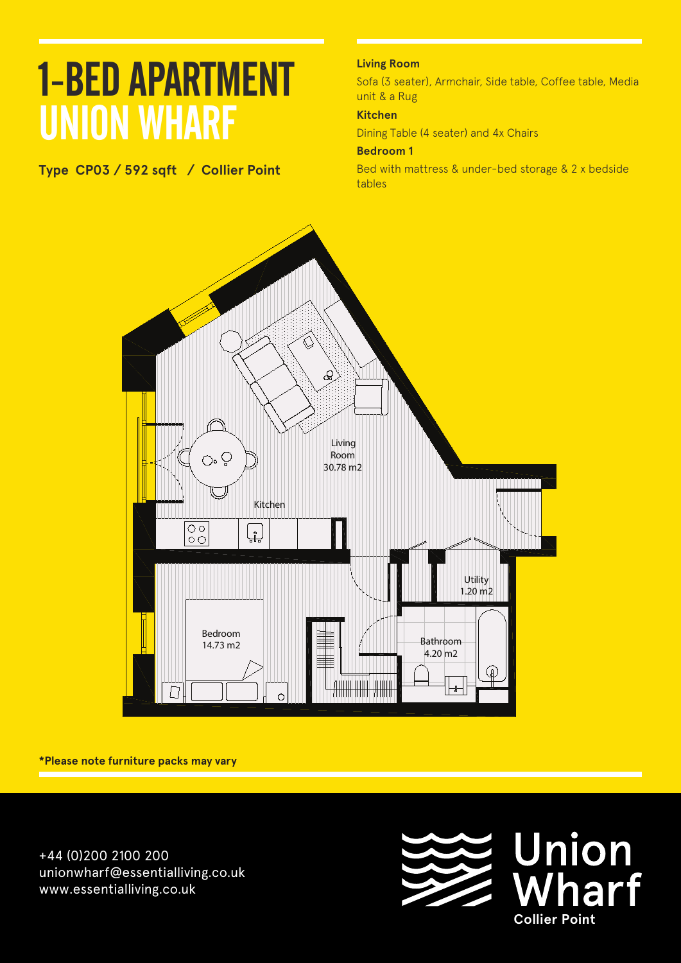**Type CP03 / 592 sqft / Collier Point Apartment A 108**

#### **Living Room**

Sofa (3 seater), Armchair, Side table, Coffee table, Media unit & a Rug

#### **Kitchen**

Dining Table (4 seater) and 4x Chairs

#### **Bedroom 1**

Bed with mattress & under-bed storage & 2 x bedside tables



**\*Please note furniture packs may vary**

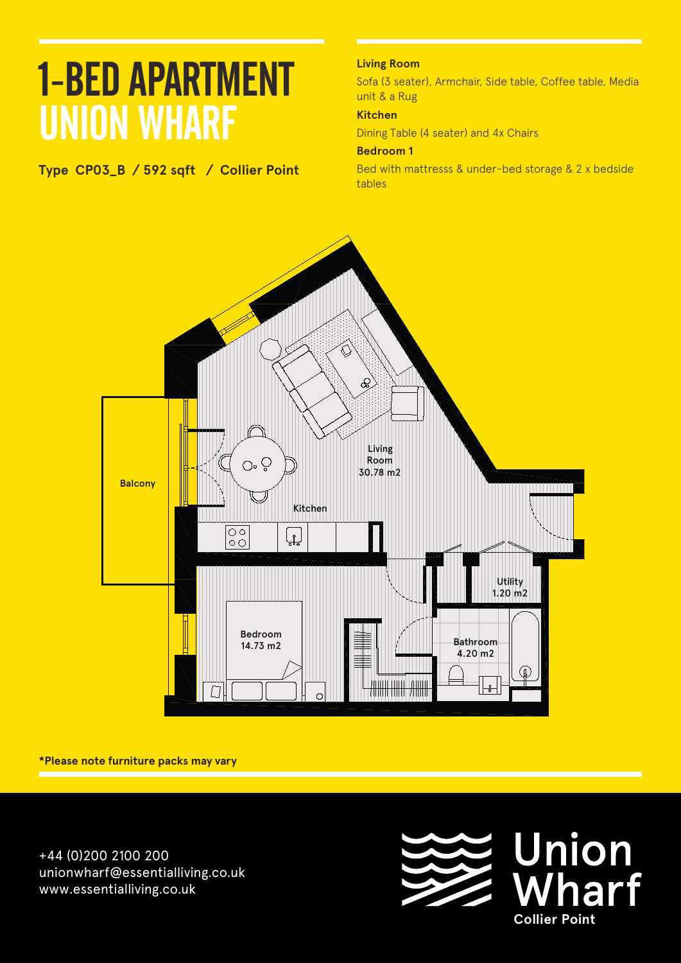### 1-BED APARTMENT UNION WHARF **Apartment A 108 Floors: Level A1**

#### **Type CP03\_B / 592 sqft / Collier Point**

#### **Living Room**

Sofa (3 seater), Armchair, Side table, Coffee table, Media unit & a Rug

#### **Kitchen**

Dining Table (4 seater) and 4x Chairs

#### **Bedroom 1**

Bed with mattresss & under-bed storage & 2 x bedside tables



**\*Please note furniture packs may vary**

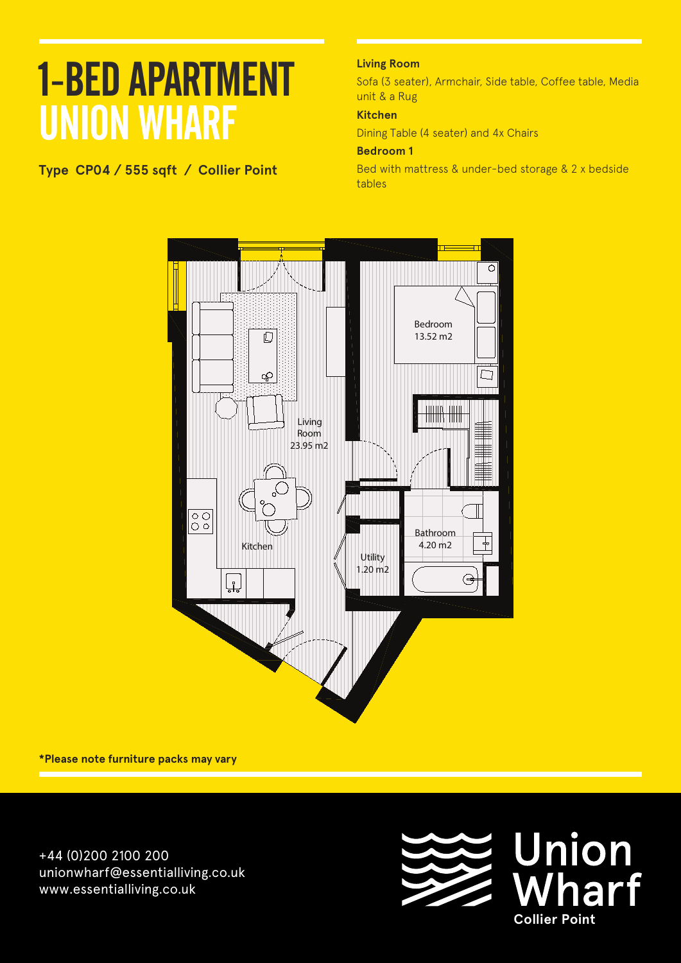**Type CP04 / 555 sqft / Collier Point Floors: Level A1**

#### **Living Room**

Sofa (3 seater), Armchair, Side table, Coffee table, Media unit & a Rug

#### **Kitchen**

Dining Table (4 seater) and 4x Chairs

#### **Bedroom 1**

Bed with mattress & under-bed storage & 2 x bedside tables



**\*Please note furniture packs may vary**

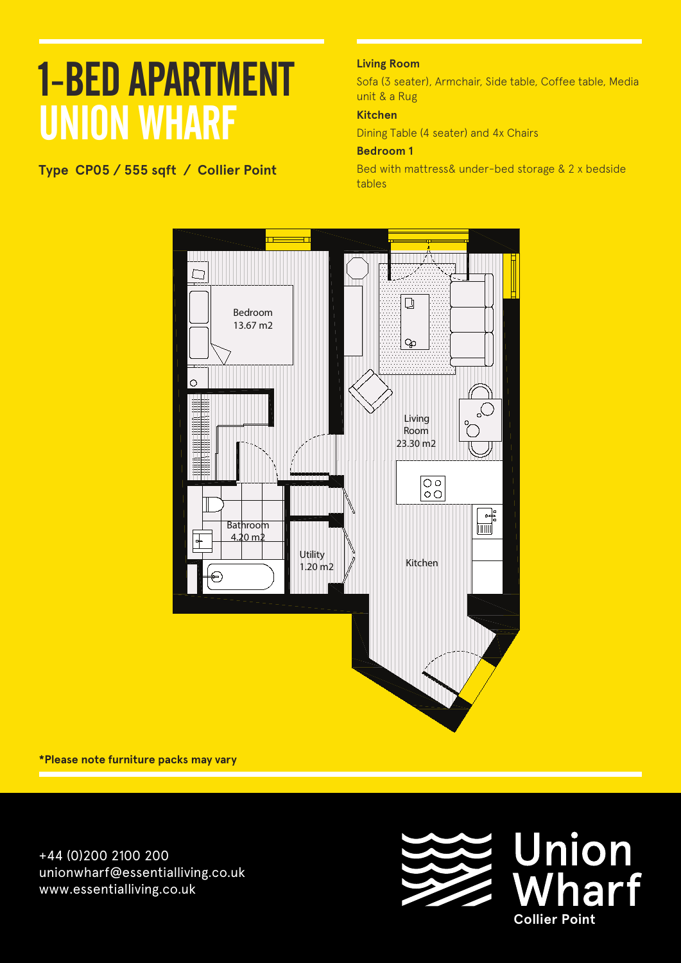### 1-BED APARTMENT UNION WHARF **Apartment A 101**

#### **Type CP05 / 555 sqft / Collier Point**

**Living Room**

Sofa (3 seater), Armchair, Side table, Coffee table, Media unit & a Rug

#### **Kitchen**

Dining Table (4 seater) and 4x Chairs

#### **Bedroom 1**

Bed with mattress& under-bed storage & 2 x bedside tables



**\*Please note furniture packs may vary**

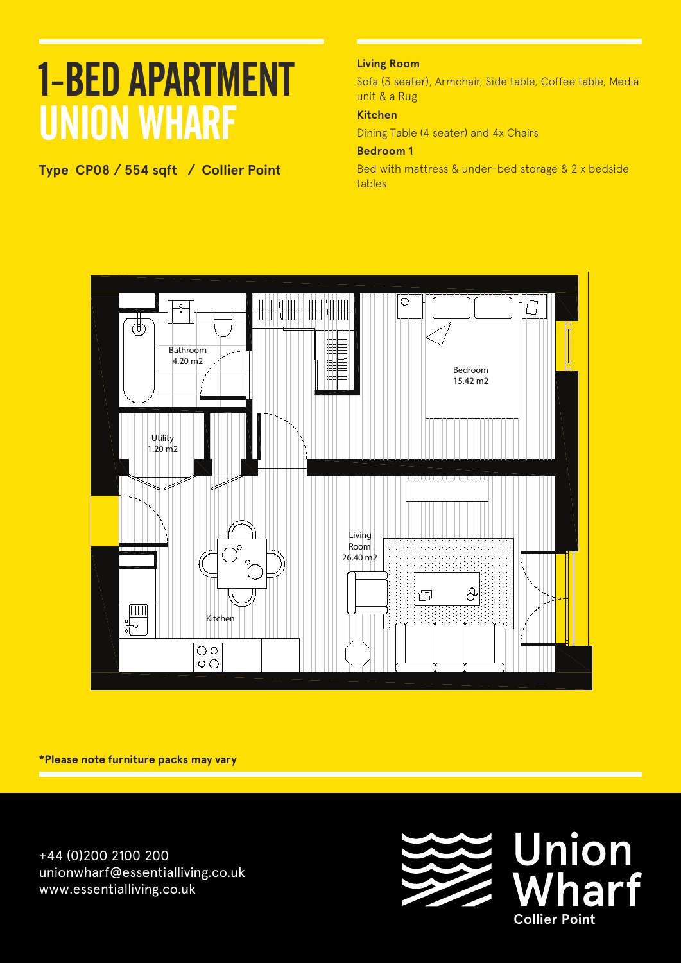**Type CP08 / 554 sqft / Collier Point**

#### **Living Room**

Sofa (3 seater), Armchair, Side table, Coffee table, Media unit & a Rug

#### **Kitchen**

Dining Table (4 seater) and 4x Chairs

#### **Bedroom 1**

Bed with mattress & under-bed storage & 2 x bedside tables



**\*Please note furniture packs may vary**